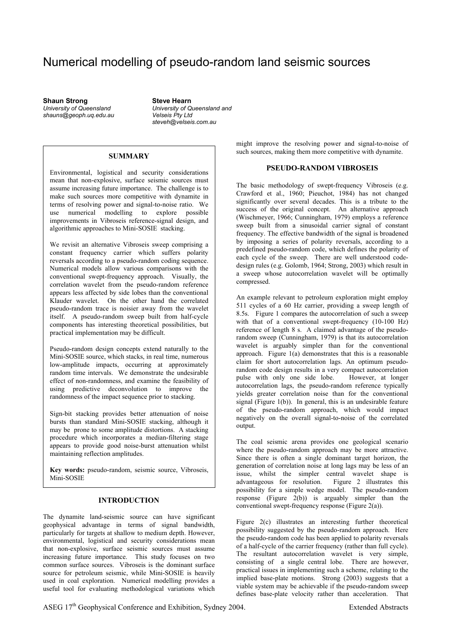# Numerical modelling of pseudo-random land seismic sources

**Shaun Strong Steve Hearn<br>
University of Queensland State Conversity of Queensland** *shauns@geoph.uq.edu.au Velseis Pty Ltd* 

*University of Queensland and Velseis Ptv Ltd steveh@velseis.com.au* 

# **SUMMARY**

Environmental, logistical and security considerations mean that non-explosive, surface seismic sources must assume increasing future importance. The challenge is to make such sources more competitive with dynamite in terms of resolving power and signal-to-noise ratio. We use numerical modelling to explore possible improvements in Vibroseis reference-signal design, and algorithmic approaches to Mini-SOSIE stacking.

We revisit an alternative Vibroseis sweep comprising a constant frequency carrier which suffers polarity reversals according to a pseudo-random coding sequence. Numerical models allow various comparisons with the conventional swept-frequency approach. Visually, the correlation wavelet from the pseudo-random reference appears less affected by side lobes than the conventional Klauder wavelet. On the other hand the correlated pseudo-random trace is noisier away from the wavelet itself. A pseudo-random sweep built from half-cycle components has interesting theoretical possibilities, but practical implementation may be difficult.

Pseudo-random design concepts extend naturally to the Mini-SOSIE source, which stacks, in real time, numerous low-amplitude impacts, occurring at approximately random time intervals. We demonstrate the undesirable effect of non-randomness, and examine the feasibility of using predictive deconvolution to improve the randomness of the impact sequence prior to stacking.

Sign-bit stacking provides better attenuation of noise bursts than standard Mini-SOSIE stacking, although it may be prone to some amplitude distortions. A stacking procedure which incorporates a median-filtering stage appears to provide good noise-burst attenuation whilst maintaining reflection amplitudes.

**Key words:** pseudo-random, seismic source, Vibroseis, Mini-SOSIE

# **INTRODUCTION**

The dynamite land-seismic source can have significant geophysical advantage in terms of signal bandwidth, particularly for targets at shallow to medium depth. However, environmental, logistical and security considerations mean that non-explosive, surface seismic sources must assume increasing future importance. This study focuses on two common surface sources. Vibroseis is the dominant surface source for petroleum seismic, while Mini-SOSIE is heavily used in coal exploration. Numerical modelling provides a useful tool for evaluating methodological variations which might improve the resolving power and signal-to-noise of such sources, making them more competitive with dynamite.

## **PSEUDO-RANDOM VIBROSEIS**

The basic methodology of swept-frequency Vibroseis (e.g. Crawford et al., 1960; Pieuchot, 1984) has not changed significantly over several decades. This is a tribute to the success of the original concept. An alternative approach (Wischmeyer, 1966; Cunningham, 1979) employs a reference sweep built from a sinusoidal carrier signal of constant frequency. The effective bandwidth of the signal is broadened by imposing a series of polarity reversals, according to a predefined pseudo-random code, which defines the polarity of each cycle of the sweep. There are well understood codedesign rules (e.g. Golomb, 1964; Strong, 2003) which result in a sweep whose autocorrelation wavelet will be optimally compressed.

An example relevant to petroleum exploration might employ 511 cycles of a 60 Hz carrier, providing a sweep length of 8.5s. Figure 1 compares the autocorrelation of such a sweep with that of a conventional swept-frequency (10-100 Hz) reference of length 8 s. A claimed advantage of the pseudorandom sweep (Cunningham, 1979) is that its autocorrelation wavelet is arguably simpler than for the conventional approach. Figure  $1(a)$  demonstrates that this is a reasonable claim for short autocorrelation lags. An optimum pseudorandom code design results in a very compact autocorrelation pulse with only one side lobe. However, at longer autocorrelation lags, the pseudo-random reference typically yields greater correlation noise than for the conventional signal (Figure 1(b)). In general, this is an undesirable feature of the pseudo-random approach, which would impact negatively on the overall signal-to-noise of the correlated output.

The coal seismic arena provides one geological scenario where the pseudo-random approach may be more attractive. Since there is often a single dominant target horizon, the generation of correlation noise at long lags may be less of an issue, whilst the simpler central wavelet shape is advantageous for resolution. Figure 2 illustrates this possibility for a simple wedge model. The pseudo-random response (Figure 2(b)) is arguably simpler than the conventional swept-frequency response (Figure 2(a)).

Figure 2(c) illustrates an interesting further theoretical possibility suggested by the pseudo-random approach. Here the pseudo-random code has been applied to polarity reversals of a half-cycle of the carrier frequency (rather than full cycle). The resultant autocorrelation wavelet is very simple, consisting of a single central lobe. There are however, practical issues in implementing such a scheme, relating to the implied base-plate motions. Strong (2003) suggests that a viable system may be achievable if the pseudo-random sweep defines base-plate velocity rather than acceleration. That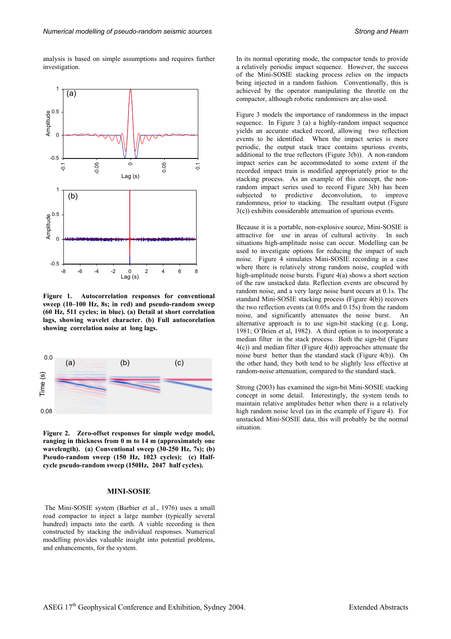analysis is based on simple assumptions and requires further investigation.



**Figure 1. Autocorrelation responses for conventional sweep (10–100 Hz, 8s; in red) and pseudo-random sweep (60 Hz, 511 cycles; in blue). (a) Detail at short correlation lags, showing wavelet character. (b) Full autocorelation showing correlation noise at long lags.** 



**Figure 2. Zero-offset responses for simple wedge model, ranging in thickness from 0 m to 14 m (approximately one wavelength). (a) Conventional sweep (30-250 Hz, 7s); (b) Pseudo-random sweep (150 Hz, 1023 cycles); (c) Halfcycle pseudo-random sweep (150Hz, 2047 half cycles).** 

#### **MINI-SOSIE**

 The Mini-SOSIE system (Barbier et al., 1976) uses a small road compactor to inject a large number (typically several hundred) impacts into the earth. A viable recording is then constructed by stacking the individual responses. Numerical modelling provides valuable insight into potential problems, and enhancements, for the system.

In its normal operating mode, the compactor tends to provide a relatively periodic impact sequence. However, the success of the Mini-SOSIE stacking process relies on the impacts being injected in a random fashion. Conventionally, this is achieved by the operator manipulating the throttle on the compactor, although robotic randomisers are also used.

Figure 3 models the importance of randomness in the impact sequence. In Figure 3 (a) a highly-random impact sequence yields an accurate stacked record, allowing two reflection events to be identified. When the impact series is more periodic, the output stack trace contains spurious events, additional to the true reflectors (Figure 3(b)). A non-random impact series can be accommodated to some extent if the recorded impact train is modified appropriately prior to the stacking process. As an example of this concept, the nonrandom impact series used to record Figure 3(b) has been subjected to predictive deconvolution, to improve randomness, prior to stacking. The resultant output (Figure 3(c)) exhibits considerable attenuation of spurious events.

Because it is a portable, non-explosive source, Mini-SOSIE is attractive for use in areas of cultural activity. In such situations high-amplitude noise can occur. Modelling can be used to investigate options for reducing the impact of such noise. Figure 4 simulates Mini-SOSIE recording in a case where there is relatively strong random noise, coupled with high-amplitude noise bursts. Figure 4(a) shows a short section of the raw unstacked data. Reflection events are obscured by random noise, and a very large noise burst occurs at 0.1s. The standard Mini-SOSIE stacking process (Figure 4(b)) recovers the two reflection events (at 0.05s and 0.15s) from the random noise, and significantly attenuates the noise burst. An alternative approach is to use sign-bit stacking (e.g. Long, 1981; O'Brien et al, 1982). A third option is to incorporate a median filter in the stack process. Both the sign-bit (Figure 4(c)) and median filter (Figure 4(d)) approaches attenuate the noise burst better than the standard stack (Figure 4(b)). On the other hand, they both tend to be slightly less effective at random-noise attenuation, compared to the standard stack.

Strong (2003) has examined the sign-bit Mini-SOSIE stacking concept in some detail. Interestingly, the system tends to maintain relative amplitudes better when there is a relatively high random noise level (as in the example of Figure 4). For unstacked Mini-SOSIE data, this will probably be the normal situation.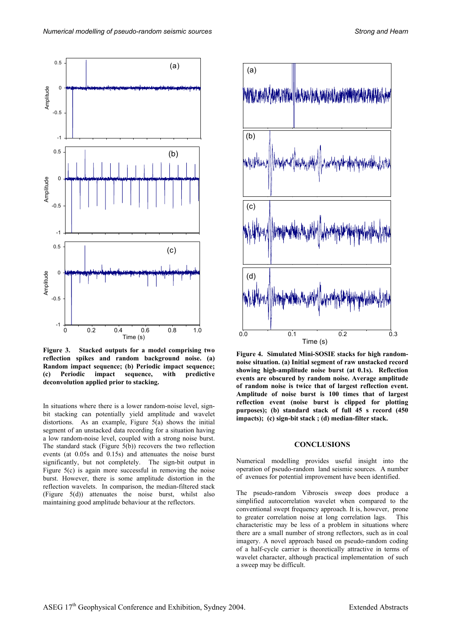

**Figure 3. Stacked outputs for a model comprising two reflection spikes and random background noise. (a) Random impact sequence; (b) Periodic impact sequence; (c) Periodic impact sequence, with predictive deconvolution applied prior to stacking.** 

In situations where there is a lower random-noise level, signbit stacking can potentially yield amplitude and wavelet distortions. As an example, Figure  $5(a)$  shows the initial segment of an unstacked data recording for a situation having a low random-noise level, coupled with a strong noise burst. The standard stack (Figure 5(b)) recovers the two reflection events (at 0.05s and 0.15s) and attenuates the noise burst significantly, but not completely. The sign-bit output in Figure 5(c) is again more successful in removing the noise burst. However, there is some amplitude distortion in the reflection wavelets. In comparison, the median-filtered stack (Figure 5(d)) attenuates the noise burst, whilst also maintaining good amplitude behaviour at the reflectors.



**Figure 4. Simulated Mini-SOSIE stacks for high randomnoise situation. (a) Initial segment of raw unstacked record showing high-amplitude noise burst (at 0.1s). Reflection events are obscured by random noise. Average amplitude of random noise is twice that of largest reflection event. Amplitude of noise burst is 100 times that of largest reflection event (noise burst is clipped for plotting purposes); (b) standard stack of full 45 s record (450 impacts); (c) sign-bit stack ; (d) median-filter stack.**

## **CONCLUSIONS**

Numerical modelling provides useful insight into the operation of pseudo-random land seismic sources. A number of avenues for potential improvement have been identified.

The pseudo-random Vibroseis sweep does produce a simplified autocorrelation wavelet when compared to the conventional swept frequency approach. It is, however, prone to greater correlation noise at long correlation lags. This characteristic may be less of a problem in situations where there are a small number of strong reflectors, such as in coal imagery. A novel approach based on pseudo-random coding of a half-cycle carrier is theoretically attractive in terms of wavelet character, although practical implementation of such a sweep may be difficult.